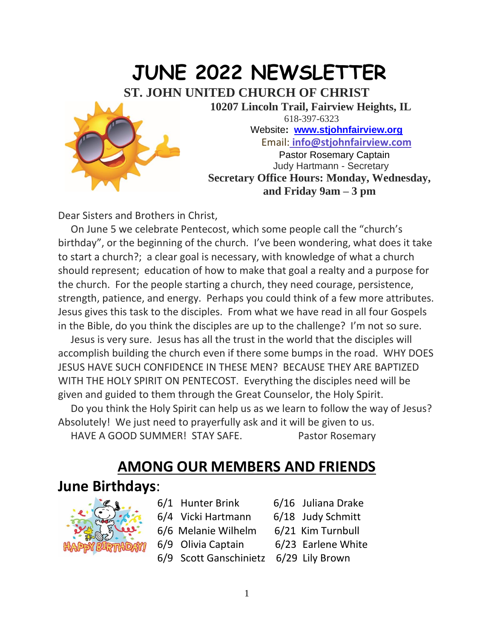

Dear Sisters and Brothers in Christ,

 On June 5 we celebrate Pentecost, which some people call the "church's birthday", or the beginning of the church. I've been wondering, what does it take to start a church?; a clear goal is necessary, with knowledge of what a church should represent; education of how to make that goal a realty and a purpose for the church. For the people starting a church, they need courage, persistence, strength, patience, and energy. Perhaps you could think of a few more attributes. Jesus gives this task to the disciples. From what we have read in all four Gospels in the Bible, do you think the disciples are up to the challenge? I'm not so sure.

 Jesus is very sure. Jesus has all the trust in the world that the disciples will accomplish building the church even if there some bumps in the road. WHY DOES JESUS HAVE SUCH CONFIDENCE IN THESE MEN? BECAUSE THEY ARE BAPTIZED WITH THE HOLY SPIRIT ON PENTECOST. Everything the disciples need will be given and guided to them through the Great Counselor, the Holy Spirit.

 Do you think the Holy Spirit can help us as we learn to follow the way of Jesus? Absolutely! We just need to prayerfully ask and it will be given to us. HAVE A GOOD SUMMER! STAY SAFE. Pastor Rosemary

#### **AMONG OUR MEMBERS AND FRIENDS**

#### **June Birthdays**:



- 6/1 Hunter Brink 6/16 Juliana Drake
- 6/4 Vicki Hartmann 6/18 Judy Schmitt
- 6/6 Melanie Wilhelm 6/21 Kim Turnbull
- 
- 6/9 Olivia Captain 6/23 Earlene White
- 6/9 Scott Ganschinietz 6/29 Lily Brown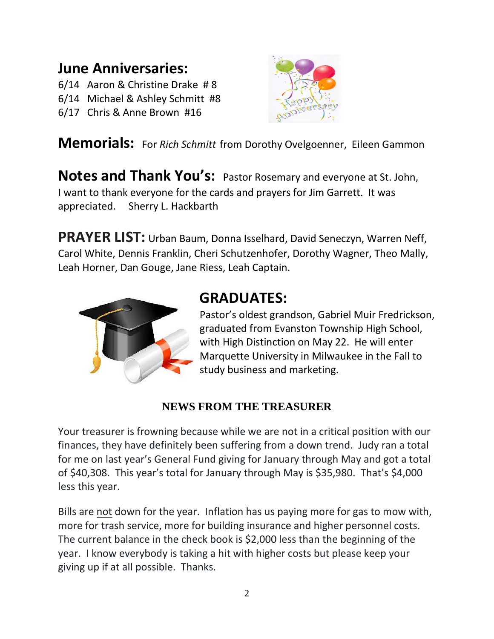## **June Anniversaries:**

- 6/14 Aaron & Christine Drake # 8
- 6/14 Michael & Ashley Schmitt #8
- 6/17 Chris & Anne Brown #16



**Memorials:** For *Rich Schmitt* from Dorothy Ovelgoenner, Eileen Gammon

**Notes and Thank You's:** Pastor Rosemary and everyone at St. John, I want to thank everyone for the cards and prayers for Jim Garrett. It was appreciated. Sherry L. Hackbarth

**PRAYER LIST:** Urban Baum, Donna Isselhard, David Seneczyn, Warren Neff, Carol White, Dennis Franklin, Cheri Schutzenhofer, Dorothy Wagner, Theo Mally, Leah Horner, Dan Gouge, Jane Riess, Leah Captain.



### **GRADUATES:**

Pastor's oldest grandson, Gabriel Muir Fredrickson, graduated from Evanston Township High School, with High Distinction on May 22. He will enter Marquette University in Milwaukee in the Fall to study business and marketing.

#### **NEWS FROM THE TREASURER**

Your treasurer is frowning because while we are not in a critical position with our finances, they have definitely been suffering from a down trend. Judy ran a total for me on last year's General Fund giving for January through May and got a total of \$40,308. This year's total for January through May is \$35,980. That's \$4,000 less this year.

Bills are not down for the year. Inflation has us paying more for gas to mow with, more for trash service, more for building insurance and higher personnel costs. The current balance in the check book is \$2,000 less than the beginning of the year. I know everybody is taking a hit with higher costs but please keep your giving up if at all possible. Thanks.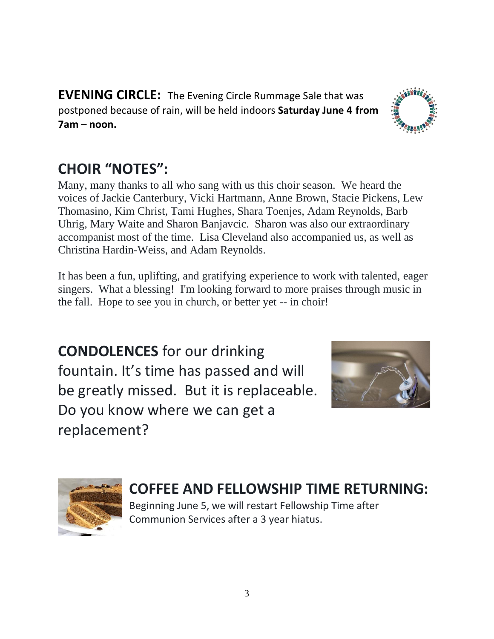**EVENING CIRCLE:** The Evening Circle Rummage Sale that was postponed because of rain, will be held indoors **Saturday June 4 from 7am – noon.** 

# **CHOIR "NOTES":**

Many, many thanks to all who sang with us this choir season. We heard the voices of Jackie Canterbury, Vicki Hartmann, Anne Brown, Stacie Pickens, Lew Thomasino, Kim Christ, Tami Hughes, Shara Toenjes, Adam Reynolds, Barb Uhrig, Mary Waite and Sharon Banjavcic. Sharon was also our extraordinary accompanist most of the time. Lisa Cleveland also accompanied us, as well as Christina Hardin-Weiss, and Adam Reynolds.

It has been a fun, uplifting, and gratifying experience to work with talented, eager singers. What a blessing! I'm looking forward to more praises through music in the fall. Hope to see you in church, or better yet -- in choir!

**CONDOLENCES** for our drinking fountain. It's time has passed and will be greatly missed. But it is replaceable. Do you know where we can get a replacement?



Beginning June 5, we will restart Fellowship Time after Communion Services after a 3 year hiatus.





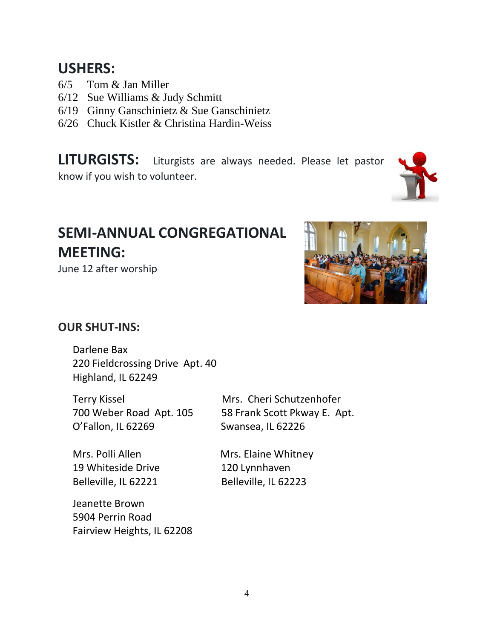#### **USHERS:**

- 6/5 Tom & Jan Miller
- 6/12 Sue Williams & Judy Schmitt
- 6/19 Ginny Ganschinietz & Sue Ganschinietz
- 6/26 Chuck Kistler & Christina Hardin-Weiss

**LITURGISTS:** Liturgists are always needed. Please let pastor know if you wish to volunteer.

# **SEMI-ANNUAL CONGREGATIONAL MEETING:**

June 12 after worship



#### **OUR SHUT-INS:**

Darlene Bax 220 Fieldcrossing Drive Apt. 40 Highland, IL 62249

Terry Kissel Mrs. Cheri Schutzenhofer O'Fallon, IL 62269 Swansea, IL 62226

19 Whiteside Drive 120 Lynnhaven Belleville, IL 62221 Belleville, IL 62223

Jeanette Brown 5904 Perrin Road Fairview Heights, IL 62208

700 Weber Road Apt. 105 58 Frank Scott Pkway E. Apt.

Mrs. Polli Allen Mrs. Elaine Whitney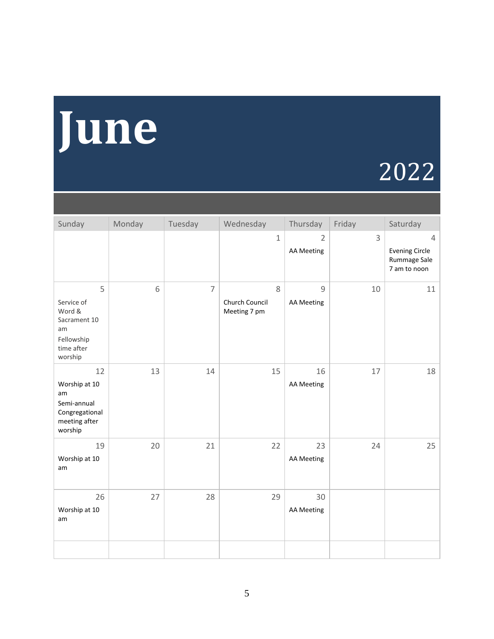# **June**

# 2022

| Sunday                                                                                 | Monday | Tuesday        | Wednesday                           | Thursday                            | Friday         | Saturday                                                                |
|----------------------------------------------------------------------------------------|--------|----------------|-------------------------------------|-------------------------------------|----------------|-------------------------------------------------------------------------|
|                                                                                        |        |                | $\mathbf{1}$                        | $\overline{2}$<br><b>AA Meeting</b> | $\overline{3}$ | $\overline{4}$<br><b>Evening Circle</b><br>Rummage Sale<br>7 am to noon |
| 5<br>Service of<br>Word &<br>Sacrament 10<br>am<br>Fellowship<br>time after<br>worship | 6      | $\overline{7}$ | 8<br>Church Council<br>Meeting 7 pm | $\overline{9}$<br><b>AA Meeting</b> | 10             | 11                                                                      |
| 12<br>Worship at 10<br>am<br>Semi-annual<br>Congregational<br>meeting after<br>worship | 13     | 14             | 15                                  | 16<br><b>AA Meeting</b>             | 17             | 18                                                                      |
| 19<br>Worship at 10<br>am                                                              | 20     | 21             | 22                                  | 23<br><b>AA Meeting</b>             | 24             | 25                                                                      |
| 26<br>Worship at 10<br>am                                                              | 27     | 28             | 29                                  | 30<br><b>AA Meeting</b>             |                |                                                                         |
|                                                                                        |        |                |                                     |                                     |                |                                                                         |